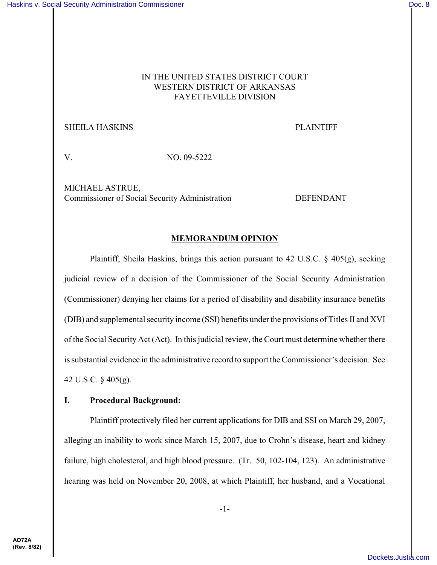# IN THE UNITED STATES DISTRICT COURT WESTERN DISTRICT OF ARKANSAS FAYETTEVILLE DIVISION

# SHEILA HASKINS PLAINTIFF

V. NO. 09-5222

MICHAEL ASTRUE, Commissioner of Social Security Administration DEFENDANT

# **MEMORANDUM OPINION**

Plaintiff, Sheila Haskins, brings this action pursuant to 42 U.S.C. § 405(g), seeking judicial review of a decision of the Commissioner of the Social Security Administration (Commissioner) denying her claims for a period of disability and disability insurance benefits (DIB) and supplemental security income (SSI) benefits under the provisions of Titles II and XVI of the Social Security Act (Act). In this judicial review, the Court must determine whether there is substantial evidence in the administrative record to support the Commissioner's decision. See 42 U.S.C. § 405(g).

# **I. Procedural Background:**

Plaintiff protectively filed her current applications for DIB and SSI on March 29, 2007, alleging an inability to work since March 15, 2007, due to Crohn's disease, heart and kidney failure, high cholesterol, and high blood pressure. (Tr. 50, 102-104, 123). An administrative hearing was held on November 20, 2008, at which Plaintiff, her husband, and a Vocational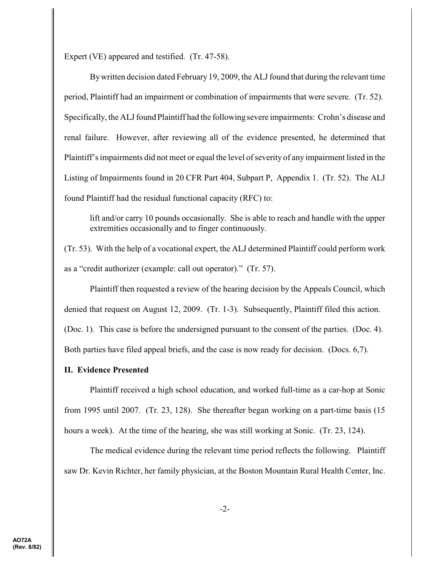Expert (VE) appeared and testified. (Tr. 47-58).

By written decision dated February 19, 2009, the ALJ found that during the relevant time period, Plaintiff had an impairment or combination of impairments that were severe. (Tr. 52). Specifically, the ALJ found Plaintiff had the following severe impairments: Crohn's disease and renal failure. However, after reviewing all of the evidence presented, he determined that Plaintiff's impairments did not meet or equal the level of severity of any impairment listed in the Listing of Impairments found in 20 CFR Part 404, Subpart P, Appendix 1. (Tr. 52). The ALJ found Plaintiff had the residual functional capacity (RFC) to:

lift and/or carry 10 pounds occasionally. She is able to reach and handle with the upper extremities occasionally and to finger continuously.

(Tr. 53). With the help of a vocational expert, the ALJ determined Plaintiff could perform work as a "credit authorizer (example: call out operator)." (Tr. 57).

Plaintiff then requested a review of the hearing decision by the Appeals Council, which denied that request on August 12, 2009. (Tr. 1-3). Subsequently, Plaintiff filed this action. (Doc. 1). This case is before the undersigned pursuant to the consent of the parties. (Doc. 4). Both parties have filed appeal briefs, and the case is now ready for decision. (Docs. 6,7).

#### **II. Evidence Presented**

Plaintiff received a high school education, and worked full-time as a car-hop at Sonic from 1995 until 2007. (Tr. 23, 128). She thereafter began working on a part-time basis (15 hours a week). At the time of the hearing, she was still working at Sonic. (Tr. 23, 124).

The medical evidence during the relevant time period reflects the following. Plaintiff saw Dr. Kevin Richter, her family physician, at the Boston Mountain Rural Health Center, Inc.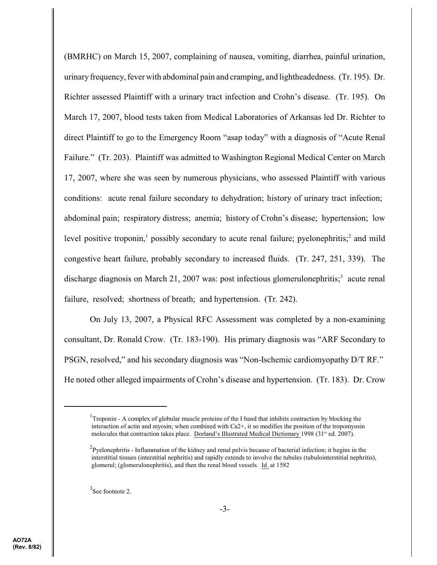(BMRHC) on March 15, 2007, complaining of nausea, vomiting, diarrhea, painful urination, urinaryfrequency, fever with abdominal pain and cramping, and lightheadedness. (Tr. 195). Dr. Richter assessed Plaintiff with a urinary tract infection and Crohn's disease. (Tr. 195). On March 17, 2007, blood tests taken from Medical Laboratories of Arkansas led Dr. Richter to direct Plaintiff to go to the Emergency Room "asap today" with a diagnosis of "Acute Renal Failure." (Tr. 203). Plaintiff was admitted to Washington Regional Medical Center on March 17, 2007, where she was seen by numerous physicians, who assessed Plaintiff with various conditions: acute renal failure secondary to dehydration; history of urinary tract infection; abdominal pain; respiratory distress; anemia; history of Crohn's disease; hypertension; low level positive troponin,<sup>1</sup> possibly secondary to acute renal failure; pyelonephritis;<sup>2</sup> and mild congestive heart failure, probably secondary to increased fluids. (Tr. 247, 251, 339). The discharge diagnosis on March 21, 2007 was: post infectious glomerulonephritis;<sup>3</sup> acute renal failure, resolved; shortness of breath; and hypertension. (Tr. 242).

On July 13, 2007, a Physical RFC Assessment was completed by a non-examining consultant, Dr. Ronald Crow. (Tr. 183-190). His primary diagnosis was "ARF Secondary to PSGN, resolved," and his secondary diagnosis was "Non-Ischemic cardiomyopathy D/T RF." He noted other alleged impairments of Crohn's disease and hypertension. (Tr. 183). Dr. Crow

 $3$ See footnote 2.

<sup>&</sup>lt;sup>1</sup>Troponin - A complex of globular muscle proteins of the I band that inhibits contraction by blocking the interaction of actin and myosin; when combined with Ca2+, it so modifies the position of the tropomyosin molecules that contraction takes place. Dorland's Illustrated Medical Dictionary 1998 ( $31<sup>st</sup>$  ed. 2007).

 $P$ yelonephritis - Inflammation of the kidney and renal pelvis because of bacterial infection; it begins in the interstitial tissues (interstitial nephritis) and rapidly extends to involve the tubules (tubulointerstitial nephritis), glomerul; (glomerulonephritis), and then the renal blood vessels. Id. at 1582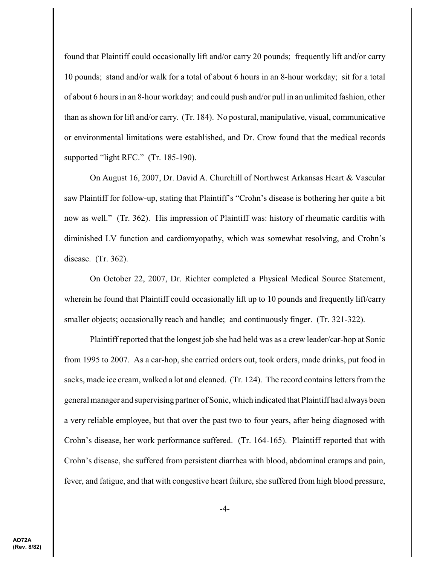found that Plaintiff could occasionally lift and/or carry 20 pounds; frequently lift and/or carry 10 pounds; stand and/or walk for a total of about 6 hours in an 8-hour workday; sit for a total of about 6 hours in an 8-hour workday; and could push and/or pull in an unlimited fashion, other than as shown for lift and/or carry. (Tr. 184). No postural, manipulative, visual, communicative or environmental limitations were established, and Dr. Crow found that the medical records supported "light RFC." (Tr. 185-190).

On August 16, 2007, Dr. David A. Churchill of Northwest Arkansas Heart & Vascular saw Plaintiff for follow-up, stating that Plaintiff's "Crohn's disease is bothering her quite a bit now as well." (Tr. 362). His impression of Plaintiff was: history of rheumatic carditis with diminished LV function and cardiomyopathy, which was somewhat resolving, and Crohn's disease. (Tr. 362).

On October 22, 2007, Dr. Richter completed a Physical Medical Source Statement, wherein he found that Plaintiff could occasionally lift up to 10 pounds and frequently lift/carry smaller objects; occasionally reach and handle; and continuously finger. (Tr. 321-322).

Plaintiff reported that the longest job she had held was as a crew leader/car-hop at Sonic from 1995 to 2007. As a car-hop, she carried orders out, took orders, made drinks, put food in sacks, made ice cream, walked a lot and cleaned. (Tr. 124). The record contains letters from the general manager and supervising partner of Sonic, which indicated that Plaintiff had always been a very reliable employee, but that over the past two to four years, after being diagnosed with Crohn's disease, her work performance suffered. (Tr. 164-165). Plaintiff reported that with Crohn's disease, she suffered from persistent diarrhea with blood, abdominal cramps and pain, fever, and fatigue, and that with congestive heart failure, she suffered from high blood pressure,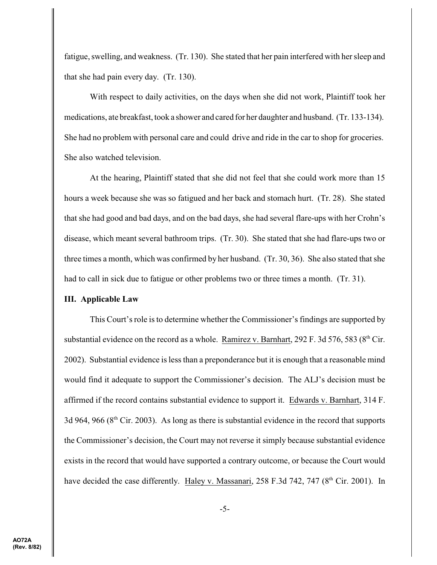fatigue, swelling, and weakness. (Tr. 130). She stated that her pain interfered with her sleep and that she had pain every day. (Tr. 130).

With respect to daily activities, on the days when she did not work, Plaintiff took her medications, ate breakfast, took a shower and cared for her daughter and husband. (Tr. 133-134). She had no problem with personal care and could drive and ride in the car to shop for groceries. She also watched television.

At the hearing, Plaintiff stated that she did not feel that she could work more than 15 hours a week because she was so fatigued and her back and stomach hurt. (Tr. 28). She stated that she had good and bad days, and on the bad days, she had several flare-ups with her Crohn's disease, which meant several bathroom trips. (Tr. 30). She stated that she had flare-ups two or three times a month, which was confirmed by her husband. (Tr. 30, 36). She also stated that she had to call in sick due to fatigue or other problems two or three times a month. (Tr. 31).

#### **III. Applicable Law**

This Court's role is to determine whether the Commissioner's findings are supported by substantial evidence on the record as a whole. Ramirez v. Barnhart, 292 F. 3d 576, 583 ( $8<sup>th</sup>$  Cir. 2002). Substantial evidence is less than a preponderance but it is enough that a reasonable mind would find it adequate to support the Commissioner's decision. The ALJ's decision must be affirmed if the record contains substantial evidence to support it. Edwards v. Barnhart, 314 F. 3d 964, 966 ( $8<sup>th</sup>$  Cir. 2003). As long as there is substantial evidence in the record that supports the Commissioner's decision, the Court may not reverse it simply because substantial evidence exists in the record that would have supported a contrary outcome, or because the Court would have decided the case differently. Haley v. Massanari, 258 F.3d 742, 747 (8<sup>th</sup> Cir. 2001). In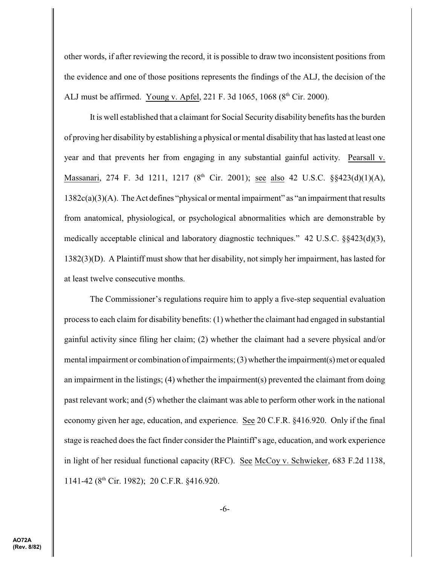other words, if after reviewing the record, it is possible to draw two inconsistent positions from the evidence and one of those positions represents the findings of the ALJ, the decision of the ALJ must be affirmed. Young v. Apfel, 221 F. 3d 1065, 1068 ( $8<sup>th</sup>$  Cir. 2000).

It is well established that a claimant for Social Security disability benefits has the burden of proving her disability by establishing a physical or mental disability that has lasted at least one year and that prevents her from engaging in any substantial gainful activity. Pearsall v. Massanari, 274 F. 3d 1211, 1217 (8<sup>th</sup> Cir. 2001); <u>see also</u> 42 U.S.C. §§423(d)(1)(A), 1382c(a)(3)(A). The Act defines "physical or mental impairment" as "an impairment that results from anatomical, physiological, or psychological abnormalities which are demonstrable by medically acceptable clinical and laboratory diagnostic techniques." 42 U.S.C. §§423(d)(3), 1382(3)(D). A Plaintiff must show that her disability, not simply her impairment, has lasted for at least twelve consecutive months.

The Commissioner's regulations require him to apply a five-step sequential evaluation process to each claim for disability benefits: (1) whether the claimant had engaged in substantial gainful activity since filing her claim; (2) whether the claimant had a severe physical and/or mental impairment or combination of impairments; (3) whether the impairment(s) met or equaled an impairment in the listings; (4) whether the impairment(s) prevented the claimant from doing past relevant work; and (5) whether the claimant was able to perform other work in the national economy given her age, education, and experience. See 20 C.F.R. §416.920. Only if the final stage is reached does the fact finder consider the Plaintiff's age, education, and work experience in light of her residual functional capacity (RFC). See McCoy v. Schwieker, 683 F.2d 1138, 1141-42 ( $8<sup>th</sup>$  Cir. 1982); 20 C.F.R. §416.920.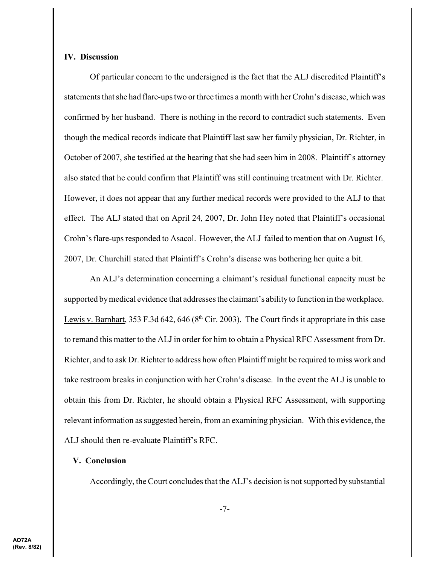### **IV. Discussion**

Of particular concern to the undersigned is the fact that the ALJ discredited Plaintiff's statements that she had flare-ups two or three times a month with her Crohn's disease, which was confirmed by her husband. There is nothing in the record to contradict such statements. Even though the medical records indicate that Plaintiff last saw her family physician, Dr. Richter, in October of 2007, she testified at the hearing that she had seen him in 2008. Plaintiff's attorney also stated that he could confirm that Plaintiff was still continuing treatment with Dr. Richter. However, it does not appear that any further medical records were provided to the ALJ to that effect. The ALJ stated that on April 24, 2007, Dr. John Hey noted that Plaintiff's occasional Crohn's flare-ups responded to Asacol. However, the ALJ failed to mention that on August 16, 2007, Dr. Churchill stated that Plaintiff's Crohn's disease was bothering her quite a bit.

An ALJ's determination concerning a claimant's residual functional capacity must be supported bymedical evidence that addresses the claimant's abilityto function in the workplace. Lewis v. Barnhart, 353 F.3d 642, 646 ( $8<sup>th</sup>$  Cir. 2003). The Court finds it appropriate in this case to remand this matter to the ALJ in order for him to obtain a Physical RFC Assessment from Dr. Richter, and to ask Dr. Richter to address how often Plaintiff might be required to miss work and take restroom breaks in conjunction with her Crohn's disease. In the event the ALJ is unable to obtain this from Dr. Richter, he should obtain a Physical RFC Assessment, with supporting relevant information as suggested herein, from an examining physician. With this evidence, the ALJ should then re-evaluate Plaintiff's RFC.

#### **V. Conclusion**

Accordingly, the Court concludes that the ALJ's decision is not supported by substantial